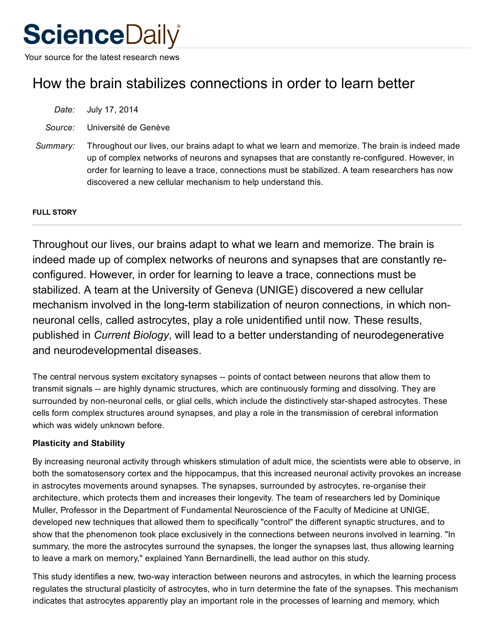# **ScienceDaily**

Your source for the latest research news

# How the brain stabilizes connections in order to learn better

*Date:* July 17, 2014

*Source:* Université de Genève

*Summary:* Throughout our lives, our brains adapt to what we learn and memorize. The brain is indeed made up of complex networks of neurons and synapses that are constantly reconfigured. However, in order for learning to leave a trace, connections must be stabilized. A team researchers has now discovered a new cellular mechanism to help understand this.

### FULL STORY

Throughout our lives, our brains adapt to what we learn and memorize. The brain is indeed made up of complex networks of neurons and synapses that are constantly reconfigured. However, in order for learning to leave a trace, connections must be stabilized. A team at the University of Geneva (UNIGE) discovered a new cellular mechanism involved in the long-term stabilization of neuron connections, in which nonneuronal cells, called astrocytes, play a role unidentified until now. These results, published in *Current Biology*, will lead to a better understanding of neurodegenerative and neurodevelopmental diseases.

The central nervous system excitatory synapses -- points of contact between neurons that allow them to transmit signals -- are highly dynamic structures, which are continuously forming and dissolving. They are surrounded by non-neuronal cells, or glial cells, which include the distinctively star-shaped astrocytes. These cells form complex structures around synapses, and play a role in the transmission of cerebral information which was widely unknown before.

## Plasticity and Stability

By increasing neuronal activity through whiskers stimulation of adult mice, the scientists were able to observe, in both the somatosensory cortex and the hippocampus, that this increased neuronal activity provokes an increase in astrocytes movements around synapses. The synapses, surrounded by astrocytes, re-organise their architecture, which protects them and increases their longevity. The team of researchers led by Dominique Muller, Professor in the Department of Fundamental Neuroscience of the Faculty of Medicine at UNIGE, developed new techniques that allowed them to specifically "control" the different synaptic structures, and to show that the phenomenon took place exclusively in the connections between neurons involved in learning. "In summary, the more the astrocytes surround the synapses, the longer the synapses last, thus allowing learning to leave a mark on memory," explained Yann Bernardinelli, the lead author on this study.

This study identifies a new, two-way interaction between neurons and astrocytes, in which the learning process regulates the structural plasticity of astrocytes, who in turn determine the fate of the synapses. This mechanism indicates that astrocytes apparently play an important role in the processes of learning and memory, which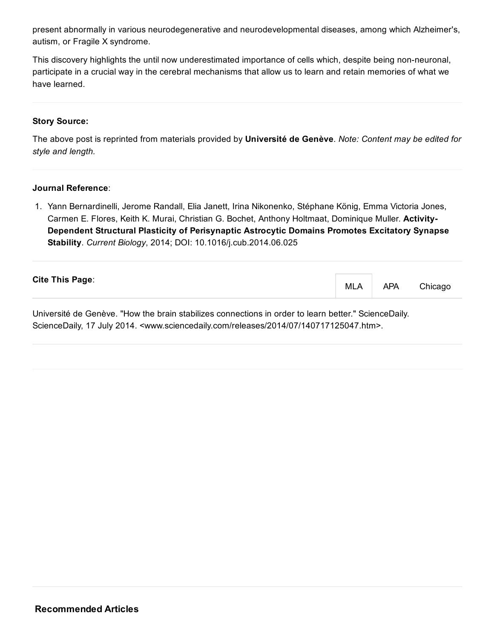present abnormally in various neurodegenerative and neurodevelopmental diseases, among which Alzheimer's, autism, or Fragile X syndrome.

This discovery highlights the until now underestimated importance of cells which, despite being non-neuronal, participate in a crucial way in the cerebral mechanisms that allow us to learn and retain memories of what we have learned.

#### Story Source:

The above post is reprinted from [materials](http://www.eurekalert.org/pub_releases/2014-07/udg-htb071714.php) provided by [Université](http://www.unige.ch/international/index_en.html) de Genève. *Note: Content may be edited for style and length.*

#### Journal Reference:

1. Yann Bernardinelli, Jerome Randall, Elia Janett, Irina Nikonenko, Stéphane König, Emma Victoria Jones, Carmen E. Flores, Keith K. Murai, Christian G. Bochet, Anthony Holtmaat, Dominique Muller. Activity-Dependent Structural Plasticity of Perisynaptic Astrocytic Domains Promotes Excitatory Synapse Stability. *Current Biology*, 2014; DOI: [10.1016/j.cub.2014.06.025](http://dx.doi.org/10.1016/j.cub.2014.06.025)

| <b>Cite This Page:</b>                                                                                   | MLA APA | Chicago |
|----------------------------------------------------------------------------------------------------------|---------|---------|
| Université de Cenève. Il leur the broin etabilizes connections in erder to learn better Il Cejense Deily |         |         |

Université de Genève. "How the brain stabilizes connections in order to learn better." ScienceDaily. ScienceDaily, 17 July 2014. <www.sciencedaily.com/releases/2014/07/140717125047.htm>.